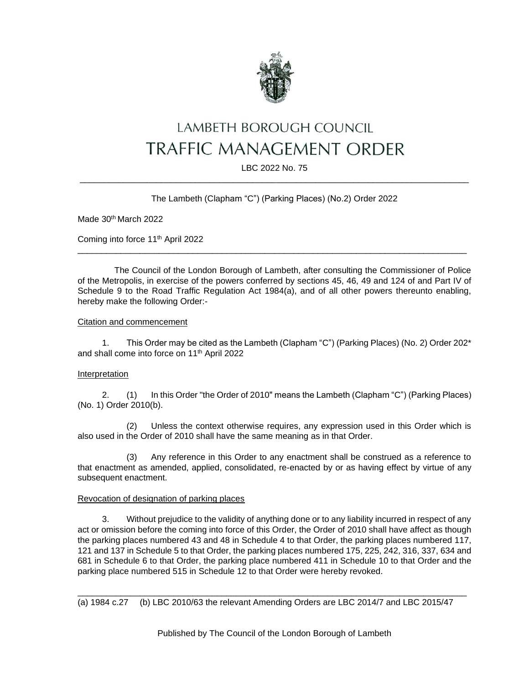

# LAMBETH BOROUGH COUNCIL **TRAFFIC MANAGEMENT ORDER**

## LBC 2022 No. 75 \_\_\_\_\_\_\_\_\_\_\_\_\_\_\_\_\_\_\_\_\_\_\_\_\_\_\_\_\_\_\_\_\_\_\_\_\_\_\_\_\_\_\_\_\_\_\_\_\_\_\_\_\_\_\_\_\_\_\_\_\_\_\_\_\_\_\_\_\_\_\_\_\_\_\_\_\_\_\_\_\_

# The Lambeth (Clapham "C") (Parking Places) (No.2) Order 2022

Made 30th March 2022

Coming into force 11th April 2022

The Council of the London Borough of Lambeth, after consulting the Commissioner of Police of the Metropolis, in exercise of the powers conferred by sections 45, 46, 49 and 124 of and Part IV of Schedule 9 to the Road Traffic Regulation Act 1984(a), and of all other powers thereunto enabling, hereby make the following Order:-

\_\_\_\_\_\_\_\_\_\_\_\_\_\_\_\_\_\_\_\_\_\_\_\_\_\_\_\_\_\_\_\_\_\_\_\_\_\_\_\_\_\_\_\_\_\_\_\_\_\_\_\_\_\_\_\_\_\_\_\_\_\_\_\_\_\_\_\_\_\_\_\_\_\_\_\_\_\_\_\_\_

## Citation and commencement

1. This Order may be cited as the Lambeth (Clapham "C") (Parking Places) (No. 2) Order 202\* and shall come into force on 11th April 2022

## Interpretation

2. (1) In this Order "the Order of 2010" means the Lambeth (Clapham "C") (Parking Places) (No. 1) Order 2010(b).

(2) Unless the context otherwise requires, any expression used in this Order which is also used in the Order of 2010 shall have the same meaning as in that Order.

(3) Any reference in this Order to any enactment shall be construed as a reference to that enactment as amended, applied, consolidated, re-enacted by or as having effect by virtue of any subsequent enactment.

## Revocation of designation of parking places

3. Without prejudice to the validity of anything done or to any liability incurred in respect of any act or omission before the coming into force of this Order, the Order of 2010 shall have affect as though the parking places numbered 43 and 48 in Schedule 4 to that Order, the parking places numbered 117, 121 and 137 in Schedule 5 to that Order, the parking places numbered 175, 225, 242, 316, 337, 634 and 681 in Schedule 6 to that Order, the parking place numbered 411 in Schedule 10 to that Order and the parking place numbered 515 in Schedule 12 to that Order were hereby revoked.

\_\_\_\_\_\_\_\_\_\_\_\_\_\_\_\_\_\_\_\_\_\_\_\_\_\_\_\_\_\_\_\_\_\_\_\_\_\_\_\_\_\_\_\_\_\_\_\_\_\_\_\_\_\_\_\_\_\_\_\_\_\_\_\_\_\_\_\_\_\_\_\_\_\_\_\_\_\_\_\_\_ (a) 1984 c.27 (b) LBC 2010/63 the relevant Amending Orders are LBC 2014/7 and LBC 2015/47

Published by The Council of the London Borough of Lambeth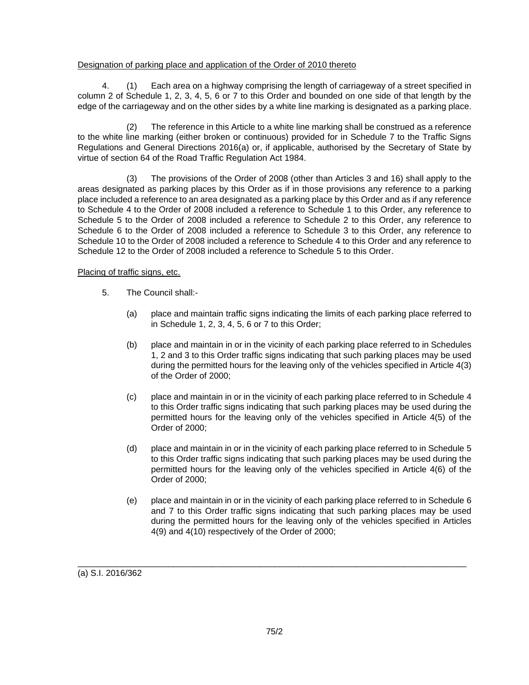# Designation of parking place and application of the Order of 2010 thereto

4. (1) Each area on a highway comprising the length of carriageway of a street specified in column 2 of Schedule 1, 2, 3, 4, 5, 6 or 7 to this Order and bounded on one side of that length by the edge of the carriageway and on the other sides by a white line marking is designated as a parking place.

(2) The reference in this Article to a white line marking shall be construed as a reference to the white line marking (either broken or continuous) provided for in Schedule 7 to the Traffic Signs Regulations and General Directions 2016(a) or, if applicable, authorised by the Secretary of State by virtue of section 64 of the Road Traffic Regulation Act 1984.

(3) The provisions of the Order of 2008 (other than Articles 3 and 16) shall apply to the areas designated as parking places by this Order as if in those provisions any reference to a parking place included a reference to an area designated as a parking place by this Order and as if any reference to Schedule 4 to the Order of 2008 included a reference to Schedule 1 to this Order, any reference to Schedule 5 to the Order of 2008 included a reference to Schedule 2 to this Order, any reference to Schedule 6 to the Order of 2008 included a reference to Schedule 3 to this Order, any reference to Schedule 10 to the Order of 2008 included a reference to Schedule 4 to this Order and any reference to Schedule 12 to the Order of 2008 included a reference to Schedule 5 to this Order.

## Placing of traffic signs, etc.

- 5. The Council shall:-
	- (a) place and maintain traffic signs indicating the limits of each parking place referred to in Schedule 1, 2, 3, 4, 5, 6 or 7 to this Order;
	- (b) place and maintain in or in the vicinity of each parking place referred to in Schedules 1, 2 and 3 to this Order traffic signs indicating that such parking places may be used during the permitted hours for the leaving only of the vehicles specified in Article 4(3) of the Order of 2000;
	- (c) place and maintain in or in the vicinity of each parking place referred to in Schedule 4 to this Order traffic signs indicating that such parking places may be used during the permitted hours for the leaving only of the vehicles specified in Article 4(5) of the Order of 2000;
	- (d) place and maintain in or in the vicinity of each parking place referred to in Schedule 5 to this Order traffic signs indicating that such parking places may be used during the permitted hours for the leaving only of the vehicles specified in Article 4(6) of the Order of 2000;
	- (e) place and maintain in or in the vicinity of each parking place referred to in Schedule 6 and 7 to this Order traffic signs indicating that such parking places may be used during the permitted hours for the leaving only of the vehicles specified in Articles 4(9) and 4(10) respectively of the Order of 2000;

(a) S.I. 2016/362

\_\_\_\_\_\_\_\_\_\_\_\_\_\_\_\_\_\_\_\_\_\_\_\_\_\_\_\_\_\_\_\_\_\_\_\_\_\_\_\_\_\_\_\_\_\_\_\_\_\_\_\_\_\_\_\_\_\_\_\_\_\_\_\_\_\_\_\_\_\_\_\_\_\_\_\_\_\_\_\_\_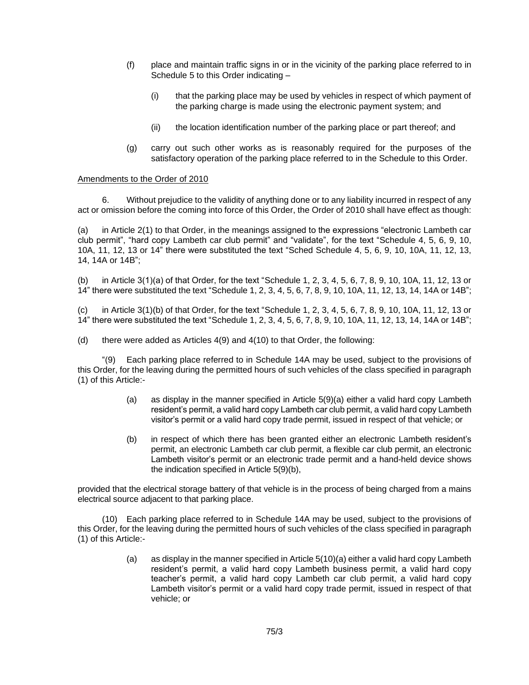- (f) place and maintain traffic signs in or in the vicinity of the parking place referred to in Schedule 5 to this Order indicating –
	- (i) that the parking place may be used by vehicles in respect of which payment of the parking charge is made using the electronic payment system; and
	- (ii) the location identification number of the parking place or part thereof; and
- (g) carry out such other works as is reasonably required for the purposes of the satisfactory operation of the parking place referred to in the Schedule to this Order.

#### Amendments to the Order of 2010

6. Without prejudice to the validity of anything done or to any liability incurred in respect of any act or omission before the coming into force of this Order, the Order of 2010 shall have effect as though:

(a) in Article 2(1) to that Order, in the meanings assigned to the expressions "electronic Lambeth car club permit", "hard copy Lambeth car club permit" and "validate", for the text "Schedule 4, 5, 6, 9, 10, 10A, 11, 12, 13 or 14" there were substituted the text "Sched Schedule 4, 5, 6, 9, 10, 10A, 11, 12, 13, 14, 14A or 14B";

(b) in Article 3(1)(a) of that Order, for the text "Schedule 1, 2, 3, 4, 5, 6, 7, 8, 9, 10, 10A, 11, 12, 13 or 14" there were substituted the text "Schedule 1, 2, 3, 4, 5, 6, 7, 8, 9, 10, 10A, 11, 12, 13, 14, 14A or 14B";

(c) in Article 3(1)(b) of that Order, for the text "Schedule 1, 2, 3, 4, 5, 6, 7, 8, 9, 10, 10A, 11, 12, 13 or 14" there were substituted the text "Schedule 1, 2, 3, 4, 5, 6, 7, 8, 9, 10, 10A, 11, 12, 13, 14, 14A or 14B";

(d) there were added as Articles 4(9) and 4(10) to that Order, the following:

"(9) Each parking place referred to in Schedule 14A may be used, subject to the provisions of this Order, for the leaving during the permitted hours of such vehicles of the class specified in paragraph (1) of this Article:-

- (a) as display in the manner specified in Article 5(9)(a) either a valid hard copy Lambeth resident's permit, a valid hard copy Lambeth car club permit, a valid hard copy Lambeth visitor's permit or a valid hard copy trade permit, issued in respect of that vehicle; or
- (b) in respect of which there has been granted either an electronic Lambeth resident's permit, an electronic Lambeth car club permit, a flexible car club permit, an electronic Lambeth visitor's permit or an electronic trade permit and a hand-held device shows the indication specified in Article 5(9)(b),

provided that the electrical storage battery of that vehicle is in the process of being charged from a mains electrical source adjacent to that parking place.

(10) Each parking place referred to in Schedule 14A may be used, subject to the provisions of this Order, for the leaving during the permitted hours of such vehicles of the class specified in paragraph (1) of this Article:-

> (a) as display in the manner specified in Article 5(10)(a) either a valid hard copy Lambeth resident's permit, a valid hard copy Lambeth business permit, a valid hard copy teacher's permit, a valid hard copy Lambeth car club permit, a valid hard copy Lambeth visitor's permit or a valid hard copy trade permit, issued in respect of that vehicle; or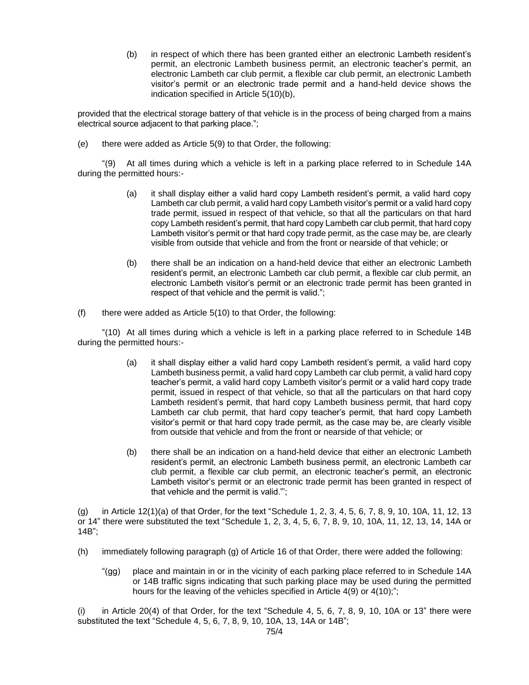(b) in respect of which there has been granted either an electronic Lambeth resident's permit, an electronic Lambeth business permit, an electronic teacher's permit, an electronic Lambeth car club permit, a flexible car club permit, an electronic Lambeth visitor's permit or an electronic trade permit and a hand-held device shows the indication specified in Article 5(10)(b),

provided that the electrical storage battery of that vehicle is in the process of being charged from a mains electrical source adjacent to that parking place.";

(e) there were added as Article 5(9) to that Order, the following:

"(9) At all times during which a vehicle is left in a parking place referred to in Schedule 14A during the permitted hours:-

- (a) it shall display either a valid hard copy Lambeth resident's permit, a valid hard copy Lambeth car club permit, a valid hard copy Lambeth visitor's permit or a valid hard copy trade permit, issued in respect of that vehicle, so that all the particulars on that hard copy Lambeth resident's permit, that hard copy Lambeth car club permit, that hard copy Lambeth visitor's permit or that hard copy trade permit, as the case may be, are clearly visible from outside that vehicle and from the front or nearside of that vehicle; or
- (b) there shall be an indication on a hand-held device that either an electronic Lambeth resident's permit, an electronic Lambeth car club permit, a flexible car club permit, an electronic Lambeth visitor's permit or an electronic trade permit has been granted in respect of that vehicle and the permit is valid.";
- $(f)$  there were added as Article 5(10) to that Order, the following:

"(10) At all times during which a vehicle is left in a parking place referred to in Schedule 14B during the permitted hours:-

- (a) it shall display either a valid hard copy Lambeth resident's permit, a valid hard copy Lambeth business permit, a valid hard copy Lambeth car club permit, a valid hard copy teacher's permit, a valid hard copy Lambeth visitor's permit or a valid hard copy trade permit, issued in respect of that vehicle, so that all the particulars on that hard copy Lambeth resident's permit, that hard copy Lambeth business permit, that hard copy Lambeth car club permit, that hard copy teacher's permit, that hard copy Lambeth visitor's permit or that hard copy trade permit, as the case may be, are clearly visible from outside that vehicle and from the front or nearside of that vehicle; or
- (b) there shall be an indication on a hand-held device that either an electronic Lambeth resident's permit, an electronic Lambeth business permit, an electronic Lambeth car club permit, a flexible car club permit, an electronic teacher's permit, an electronic Lambeth visitor's permit or an electronic trade permit has been granted in respect of that vehicle and the permit is valid."';

(g) in Article 12(1)(a) of that Order, for the text "Schedule 1, 2, 3, 4, 5, 6, 7, 8, 9, 10, 10A, 11, 12, 13 or 14" there were substituted the text "Schedule 1, 2, 3, 4, 5, 6, 7, 8, 9, 10, 10A, 11, 12, 13, 14, 14A or 14B";

- (h) immediately following paragraph (g) of Article 16 of that Order, there were added the following:
	- "(gg) place and maintain in or in the vicinity of each parking place referred to in Schedule 14A or 14B traffic signs indicating that such parking place may be used during the permitted hours for the leaving of the vehicles specified in Article 4(9) or 4(10);";

(i) in Article 20(4) of that Order, for the text "Schedule 4, 5, 6, 7, 8, 9, 10, 10A or 13" there were substituted the text "Schedule 4, 5, 6, 7, 8, 9, 10, 10A, 13, 14A or 14B";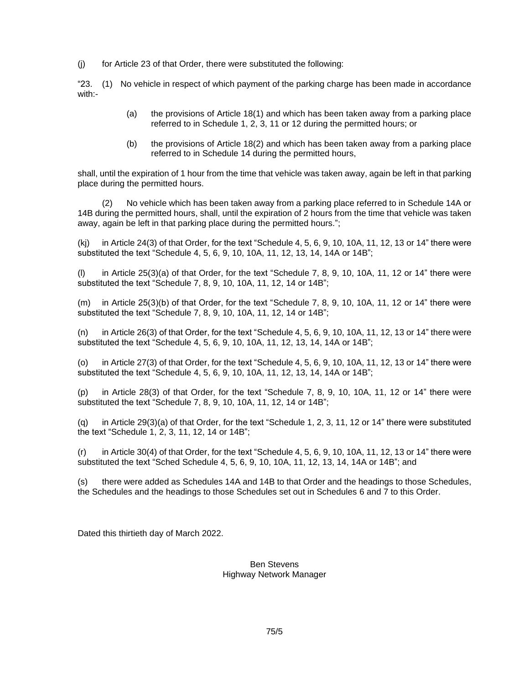(j) for Article 23 of that Order, there were substituted the following:

"23. (1) No vehicle in respect of which payment of the parking charge has been made in accordance with:-

- (a) the provisions of Article 18(1) and which has been taken away from a parking place referred to in Schedule 1, 2, 3, 11 or 12 during the permitted hours; or
- (b) the provisions of Article 18(2) and which has been taken away from a parking place referred to in Schedule 14 during the permitted hours,

shall, until the expiration of 1 hour from the time that vehicle was taken away, again be left in that parking place during the permitted hours.

(2) No vehicle which has been taken away from a parking place referred to in Schedule 14A or 14B during the permitted hours, shall, until the expiration of 2 hours from the time that vehicle was taken away, again be left in that parking place during the permitted hours.";

 $(k)$  in Article 24(3) of that Order, for the text "Schedule 4, 5, 6, 9, 10, 10A, 11, 12, 13 or 14" there were substituted the text "Schedule 4, 5, 6, 9, 10, 10A, 11, 12, 13, 14, 14A or 14B";

 $(l)$  in Article 25(3)(a) of that Order, for the text "Schedule 7, 8, 9, 10, 10A, 11, 12 or 14" there were substituted the text "Schedule 7, 8, 9, 10, 10A, 11, 12, 14 or 14B";

(m) in Article 25(3)(b) of that Order, for the text "Schedule 7, 8, 9, 10, 10A, 11, 12 or 14" there were substituted the text "Schedule 7, 8, 9, 10, 10A, 11, 12, 14 or 14B";

 $(n)$  in Article 26(3) of that Order, for the text "Schedule 4, 5, 6, 9, 10, 10A, 11, 12, 13 or 14" there were substituted the text "Schedule 4, 5, 6, 9, 10, 10A, 11, 12, 13, 14, 14A or 14B";

(o) in Article 27(3) of that Order, for the text "Schedule 4, 5, 6, 9, 10, 10A, 11, 12, 13 or 14" there were substituted the text "Schedule 4, 5, 6, 9, 10, 10A, 11, 12, 13, 14, 14A or 14B";

(p) in Article 28(3) of that Order, for the text "Schedule 7, 8, 9, 10, 10A, 11, 12 or 14" there were substituted the text "Schedule 7, 8, 9, 10, 10A, 11, 12, 14 or 14B";

(q) in Article 29(3)(a) of that Order, for the text "Schedule 1, 2, 3, 11, 12 or 14" there were substituted the text "Schedule 1, 2, 3, 11, 12, 14 or 14B";

 $(r)$  in Article 30(4) of that Order, for the text "Schedule 4, 5, 6, 9, 10, 10A, 11, 12, 13 or 14" there were substituted the text "Sched Schedule 4, 5, 6, 9, 10, 10A, 11, 12, 13, 14, 14A or 14B"; and

(s) there were added as Schedules 14A and 14B to that Order and the headings to those Schedules, the Schedules and the headings to those Schedules set out in Schedules 6 and 7 to this Order.

Dated this thirtieth day of March 2022.

## Ben Stevens Highway Network Manager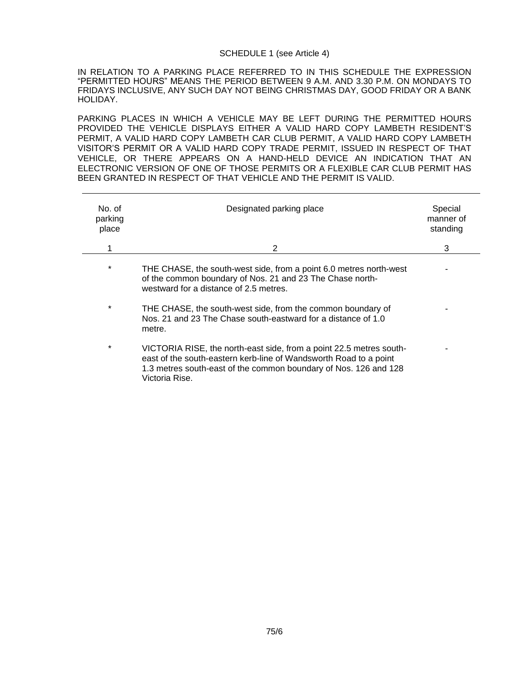#### SCHEDULE 1 (see Article 4)

IN RELATION TO A PARKING PLACE REFERRED TO IN THIS SCHEDULE THE EXPRESSION "PERMITTED HOURS" MEANS THE PERIOD BETWEEN 9 A.M. AND 3.30 P.M. ON MONDAYS TO FRIDAYS INCLUSIVE, ANY SUCH DAY NOT BEING CHRISTMAS DAY, GOOD FRIDAY OR A BANK HOLIDAY.

PARKING PLACES IN WHICH A VEHICLE MAY BE LEFT DURING THE PERMITTED HOURS PROVIDED THE VEHICLE DISPLAYS EITHER A VALID HARD COPY LAMBETH RESIDENT'S PERMIT, A VALID HARD COPY LAMBETH CAR CLUB PERMIT, A VALID HARD COPY LAMBETH VISITOR'S PERMIT OR A VALID HARD COPY TRADE PERMIT, ISSUED IN RESPECT OF THAT VEHICLE, OR THERE APPEARS ON A HAND-HELD DEVICE AN INDICATION THAT AN ELECTRONIC VERSION OF ONE OF THOSE PERMITS OR A FLEXIBLE CAR CLUB PERMIT HAS BEEN GRANTED IN RESPECT OF THAT VEHICLE AND THE PERMIT IS VALID.

| No. of<br>parking<br>place | Designated parking place                                                                                                                                                                                                       | Special<br>manner of<br>standing |
|----------------------------|--------------------------------------------------------------------------------------------------------------------------------------------------------------------------------------------------------------------------------|----------------------------------|
|                            | 2                                                                                                                                                                                                                              | 3                                |
| $\star$                    | THE CHASE, the south-west side, from a point 6.0 metres north-west<br>of the common boundary of Nos. 21 and 23 The Chase north-<br>westward for a distance of 2.5 metres.                                                      |                                  |
| $\star$                    | THE CHASE, the south-west side, from the common boundary of<br>Nos. 21 and 23 The Chase south-eastward for a distance of 1.0<br>metre.                                                                                         |                                  |
| $\star$                    | VICTORIA RISE, the north-east side, from a point 22.5 metres south-<br>east of the south-eastern kerb-line of Wandsworth Road to a point<br>1.3 metres south-east of the common boundary of Nos. 126 and 128<br>Victoria Rise. |                                  |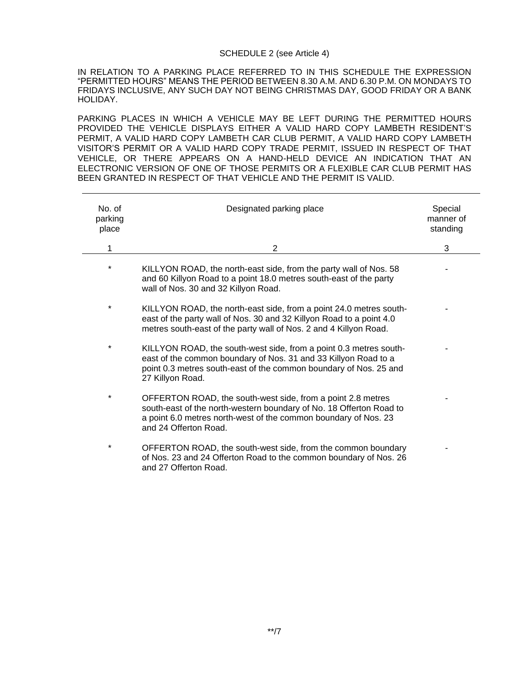#### SCHEDULE 2 (see Article 4)

IN RELATION TO A PARKING PLACE REFERRED TO IN THIS SCHEDULE THE EXPRESSION "PERMITTED HOURS" MEANS THE PERIOD BETWEEN 8.30 A.M. AND 6.30 P.M. ON MONDAYS TO FRIDAYS INCLUSIVE, ANY SUCH DAY NOT BEING CHRISTMAS DAY, GOOD FRIDAY OR A BANK HOLIDAY.

PARKING PLACES IN WHICH A VEHICLE MAY BE LEFT DURING THE PERMITTED HOURS PROVIDED THE VEHICLE DISPLAYS EITHER A VALID HARD COPY LAMBETH RESIDENT'S PERMIT, A VALID HARD COPY LAMBETH CAR CLUB PERMIT, A VALID HARD COPY LAMBETH VISITOR'S PERMIT OR A VALID HARD COPY TRADE PERMIT, ISSUED IN RESPECT OF THAT VEHICLE, OR THERE APPEARS ON A HAND-HELD DEVICE AN INDICATION THAT AN ELECTRONIC VERSION OF ONE OF THOSE PERMITS OR A FLEXIBLE CAR CLUB PERMIT HAS BEEN GRANTED IN RESPECT OF THAT VEHICLE AND THE PERMIT IS VALID.

| No. of<br>parking<br>place | Designated parking place                                                                                                                                                                                                       | Special<br>manner of<br>standing |
|----------------------------|--------------------------------------------------------------------------------------------------------------------------------------------------------------------------------------------------------------------------------|----------------------------------|
| 1                          | 2                                                                                                                                                                                                                              | 3                                |
| $\star$                    | KILLYON ROAD, the north-east side, from the party wall of Nos. 58<br>and 60 Killyon Road to a point 18.0 metres south-east of the party<br>wall of Nos. 30 and 32 Killyon Road.                                                |                                  |
| $\star$                    | KILLYON ROAD, the north-east side, from a point 24.0 metres south-<br>east of the party wall of Nos. 30 and 32 Killyon Road to a point 4.0<br>metres south-east of the party wall of Nos. 2 and 4 Killyon Road.                |                                  |
| $\star$                    | KILLYON ROAD, the south-west side, from a point 0.3 metres south-<br>east of the common boundary of Nos. 31 and 33 Killyon Road to a<br>point 0.3 metres south-east of the common boundary of Nos. 25 and<br>27 Killyon Road.  |                                  |
| $\ast$                     | OFFERTON ROAD, the south-west side, from a point 2.8 metres<br>south-east of the north-western boundary of No. 18 Offerton Road to<br>a point 6.0 metres north-west of the common boundary of Nos. 23<br>and 24 Offerton Road. |                                  |
| $\star$                    | OFFERTON ROAD, the south-west side, from the common boundary<br>of Nos. 23 and 24 Offerton Road to the common boundary of Nos. 26<br>and 27 Offerton Road.                                                                     |                                  |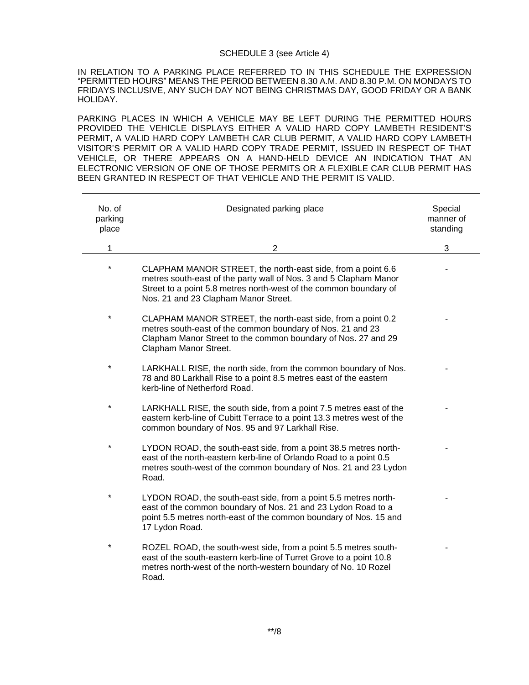#### SCHEDULE 3 (see Article 4)

IN RELATION TO A PARKING PLACE REFERRED TO IN THIS SCHEDULE THE EXPRESSION "PERMITTED HOURS" MEANS THE PERIOD BETWEEN 8.30 A.M. AND 8.30 P.M. ON MONDAYS TO FRIDAYS INCLUSIVE, ANY SUCH DAY NOT BEING CHRISTMAS DAY, GOOD FRIDAY OR A BANK HOLIDAY.

PARKING PLACES IN WHICH A VEHICLE MAY BE LEFT DURING THE PERMITTED HOURS PROVIDED THE VEHICLE DISPLAYS EITHER A VALID HARD COPY LAMBETH RESIDENT'S PERMIT, A VALID HARD COPY LAMBETH CAR CLUB PERMIT, A VALID HARD COPY LAMBETH VISITOR'S PERMIT OR A VALID HARD COPY TRADE PERMIT, ISSUED IN RESPECT OF THAT VEHICLE, OR THERE APPEARS ON A HAND-HELD DEVICE AN INDICATION THAT AN ELECTRONIC VERSION OF ONE OF THOSE PERMITS OR A FLEXIBLE CAR CLUB PERMIT HAS BEEN GRANTED IN RESPECT OF THAT VEHICLE AND THE PERMIT IS VALID.

| No. of<br>parking<br>place | Designated parking place                                                                                                                                                                                                                      | Special<br>manner of<br>standing |
|----------------------------|-----------------------------------------------------------------------------------------------------------------------------------------------------------------------------------------------------------------------------------------------|----------------------------------|
| 1                          | $\overline{2}$                                                                                                                                                                                                                                | 3                                |
| $\ast$                     | CLAPHAM MANOR STREET, the north-east side, from a point 6.6<br>metres south-east of the party wall of Nos. 3 and 5 Clapham Manor<br>Street to a point 5.8 metres north-west of the common boundary of<br>Nos. 21 and 23 Clapham Manor Street. |                                  |
| $\star$                    | CLAPHAM MANOR STREET, the north-east side, from a point 0.2<br>metres south-east of the common boundary of Nos. 21 and 23<br>Clapham Manor Street to the common boundary of Nos. 27 and 29<br>Clapham Manor Street.                           |                                  |
| $\ast$                     | LARKHALL RISE, the north side, from the common boundary of Nos.<br>78 and 80 Larkhall Rise to a point 8.5 metres east of the eastern<br>kerb-line of Netherford Road.                                                                         |                                  |
| $\star$                    | LARKHALL RISE, the south side, from a point 7.5 metres east of the<br>eastern kerb-line of Cubitt Terrace to a point 13.3 metres west of the<br>common boundary of Nos. 95 and 97 Larkhall Rise.                                              |                                  |
| $\star$                    | LYDON ROAD, the south-east side, from a point 38.5 metres north-<br>east of the north-eastern kerb-line of Orlando Road to a point 0.5<br>metres south-west of the common boundary of Nos. 21 and 23 Lydon<br>Road.                           |                                  |
| $\star$                    | LYDON ROAD, the south-east side, from a point 5.5 metres north-<br>east of the common boundary of Nos. 21 and 23 Lydon Road to a<br>point 5.5 metres north-east of the common boundary of Nos. 15 and<br>17 Lydon Road.                       |                                  |
| $\star$                    | ROZEL ROAD, the south-west side, from a point 5.5 metres south-<br>east of the south-eastern kerb-line of Turret Grove to a point 10.8<br>metres north-west of the north-western boundary of No. 10 Rozel<br>Road.                            |                                  |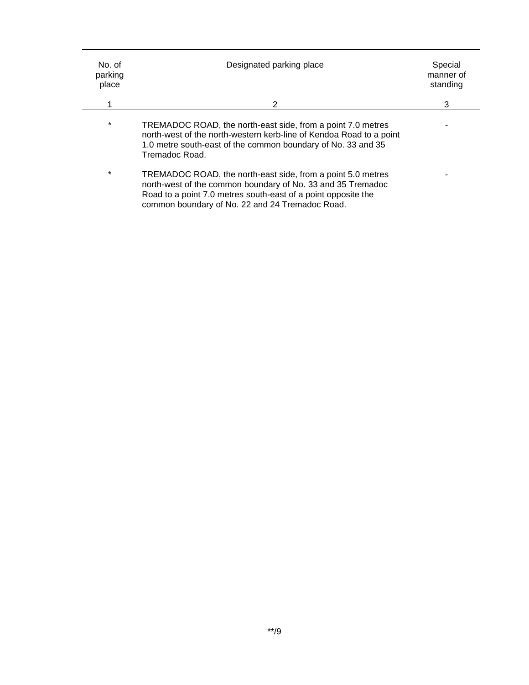| No. of<br>parking<br>place | Designated parking place                                                                                                                                                                                                                       | Special<br>manner of<br>standing |
|----------------------------|------------------------------------------------------------------------------------------------------------------------------------------------------------------------------------------------------------------------------------------------|----------------------------------|
|                            | 2                                                                                                                                                                                                                                              | 3                                |
| $\star$                    | TREMADOC ROAD, the north-east side, from a point 7.0 metres<br>north-west of the north-western kerb-line of Kendoa Road to a point<br>1.0 metre south-east of the common boundary of No. 33 and 35<br>Tremadoc Road.                           |                                  |
| $\star$                    | TREMADOC ROAD, the north-east side, from a point 5.0 metres<br>north-west of the common boundary of No. 33 and 35 Tremadoc<br>Road to a point 7.0 metres south-east of a point opposite the<br>common boundary of No. 22 and 24 Tremadoc Road. |                                  |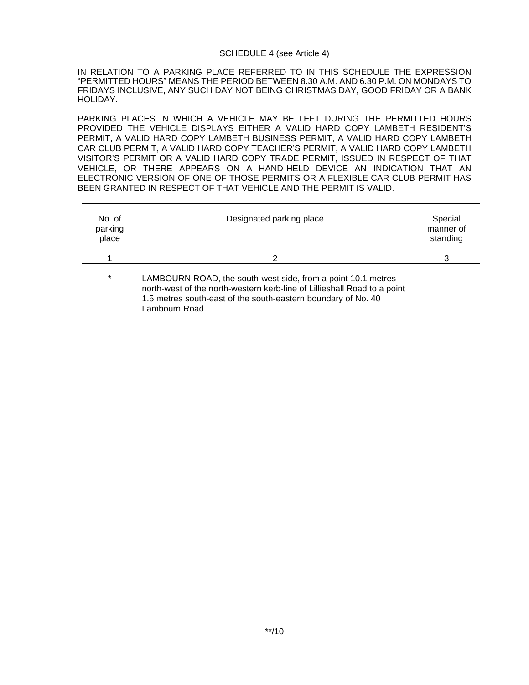#### SCHEDULE 4 (see Article 4)

IN RELATION TO A PARKING PLACE REFERRED TO IN THIS SCHEDULE THE EXPRESSION "PERMITTED HOURS" MEANS THE PERIOD BETWEEN 8.30 A.M. AND 6.30 P.M. ON MONDAYS TO FRIDAYS INCLUSIVE, ANY SUCH DAY NOT BEING CHRISTMAS DAY, GOOD FRIDAY OR A BANK HOLIDAY.

PARKING PLACES IN WHICH A VEHICLE MAY BE LEFT DURING THE PERMITTED HOURS PROVIDED THE VEHICLE DISPLAYS EITHER A VALID HARD COPY LAMBETH RESIDENT'S PERMIT, A VALID HARD COPY LAMBETH BUSINESS PERMIT, A VALID HARD COPY LAMBETH CAR CLUB PERMIT, A VALID HARD COPY TEACHER'S PERMIT, A VALID HARD COPY LAMBETH VISITOR'S PERMIT OR A VALID HARD COPY TRADE PERMIT, ISSUED IN RESPECT OF THAT VEHICLE, OR THERE APPEARS ON A HAND-HELD DEVICE AN INDICATION THAT AN ELECTRONIC VERSION OF ONE OF THOSE PERMITS OR A FLEXIBLE CAR CLUB PERMIT HAS BEEN GRANTED IN RESPECT OF THAT VEHICLE AND THE PERMIT IS VALID.

| No. of<br>parking<br>place | Designated parking place                                                                                                                                                                                                    | Special<br>manner of<br>standing |
|----------------------------|-----------------------------------------------------------------------------------------------------------------------------------------------------------------------------------------------------------------------------|----------------------------------|
|                            | 2                                                                                                                                                                                                                           | 3                                |
| $\star$                    | LAMBOURN ROAD, the south-west side, from a point 10.1 metres<br>north-west of the north-western kerb-line of Lillieshall Road to a point<br>1.5 metres south-east of the south-eastern boundary of No. 40<br>Lambourn Road. |                                  |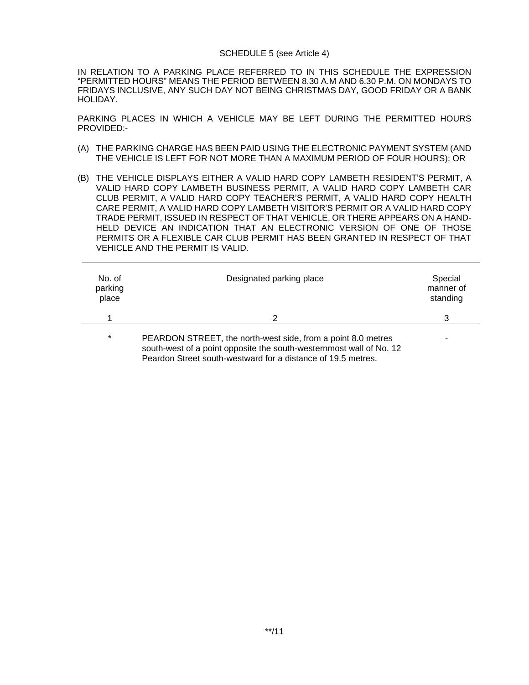#### SCHEDULE 5 (see Article 4)

IN RELATION TO A PARKING PLACE REFERRED TO IN THIS SCHEDULE THE EXPRESSION "PERMITTED HOURS" MEANS THE PERIOD BETWEEN 8.30 A.M AND 6.30 P.M. ON MONDAYS TO FRIDAYS INCLUSIVE, ANY SUCH DAY NOT BEING CHRISTMAS DAY, GOOD FRIDAY OR A BANK HOLIDAY.

PARKING PLACES IN WHICH A VEHICLE MAY BE LEFT DURING THE PERMITTED HOURS PROVIDED:-

- (A) THE PARKING CHARGE HAS BEEN PAID USING THE ELECTRONIC PAYMENT SYSTEM (AND THE VEHICLE IS LEFT FOR NOT MORE THAN A MAXIMUM PERIOD OF FOUR HOURS); OR
- (B) THE VEHICLE DISPLAYS EITHER A VALID HARD COPY LAMBETH RESIDENT'S PERMIT, A VALID HARD COPY LAMBETH BUSINESS PERMIT, A VALID HARD COPY LAMBETH CAR CLUB PERMIT, A VALID HARD COPY TEACHER'S PERMIT, A VALID HARD COPY HEALTH CARE PERMIT, A VALID HARD COPY LAMBETH VISITOR'S PERMIT OR A VALID HARD COPY TRADE PERMIT, ISSUED IN RESPECT OF THAT VEHICLE, OR THERE APPEARS ON A HAND-HELD DEVICE AN INDICATION THAT AN ELECTRONIC VERSION OF ONE OF THOSE PERMITS OR A FLEXIBLE CAR CLUB PERMIT HAS BEEN GRANTED IN RESPECT OF THAT VEHICLE AND THE PERMIT IS VALID.

| No. of<br>parking<br>place | Designated parking place                                                                                                            | Special<br>manner of<br>standing |
|----------------------------|-------------------------------------------------------------------------------------------------------------------------------------|----------------------------------|
|                            | 2                                                                                                                                   | 3                                |
| $\star$                    | PEARDON STREET, the north-west side, from a point 8.0 metres<br>south-west of a point opposite the south-westernmost wall of No. 12 | ۰                                |

Peardon Street south-westward for a distance of 19.5 metres.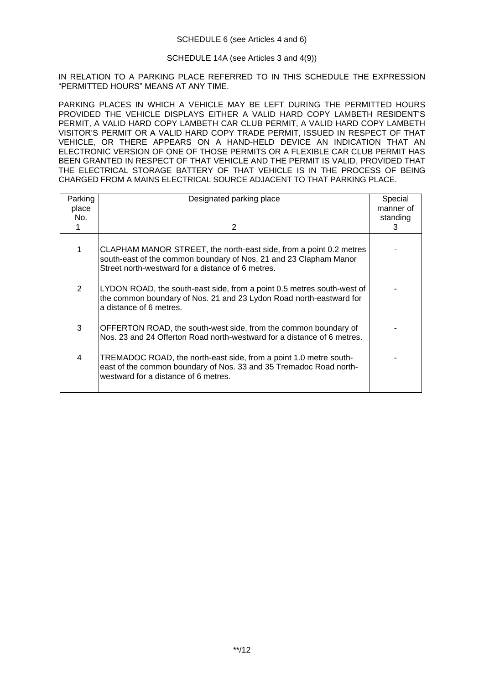# SCHEDULE 14A (see Articles 3 and 4(9))

IN RELATION TO A PARKING PLACE REFERRED TO IN THIS SCHEDULE THE EXPRESSION "PERMITTED HOURS" MEANS AT ANY TIME.

PARKING PLACES IN WHICH A VEHICLE MAY BE LEFT DURING THE PERMITTED HOURS PROVIDED THE VEHICLE DISPLAYS EITHER A VALID HARD COPY LAMBETH RESIDENT'S PERMIT, A VALID HARD COPY LAMBETH CAR CLUB PERMIT, A VALID HARD COPY LAMBETH VISITOR'S PERMIT OR A VALID HARD COPY TRADE PERMIT, ISSUED IN RESPECT OF THAT VEHICLE, OR THERE APPEARS ON A HAND-HELD DEVICE AN INDICATION THAT AN ELECTRONIC VERSION OF ONE OF THOSE PERMITS OR A FLEXIBLE CAR CLUB PERMIT HAS BEEN GRANTED IN RESPECT OF THAT VEHICLE AND THE PERMIT IS VALID, PROVIDED THAT THE ELECTRICAL STORAGE BATTERY OF THAT VEHICLE IS IN THE PROCESS OF BEING CHARGED FROM A MAINS ELECTRICAL SOURCE ADJACENT TO THAT PARKING PLACE.

| Parking<br>place<br>No. | Designated parking place<br>2                                                                                                                                                                | Special<br>manner of<br>standing<br>3 |
|-------------------------|----------------------------------------------------------------------------------------------------------------------------------------------------------------------------------------------|---------------------------------------|
| 1.                      | CLAPHAM MANOR STREET, the north-east side, from a point 0.2 metres<br>south-east of the common boundary of Nos. 21 and 23 Clapham Manor<br>Street north-westward for a distance of 6 metres. |                                       |
| 2                       | LYDON ROAD, the south-east side, from a point 0.5 metres south-west of<br>the common boundary of Nos. 21 and 23 Lydon Road north-eastward for<br>a distance of 6 metres.                     |                                       |
| 3                       | OFFERTON ROAD, the south-west side, from the common boundary of<br>Nos. 23 and 24 Offerton Road north-westward for a distance of 6 metres.                                                   |                                       |
| 4                       | TREMADOC ROAD, the north-east side, from a point 1.0 metre south-<br>east of the common boundary of Nos. 33 and 35 Tremadoc Road north-<br>westward for a distance of 6 metres.              |                                       |